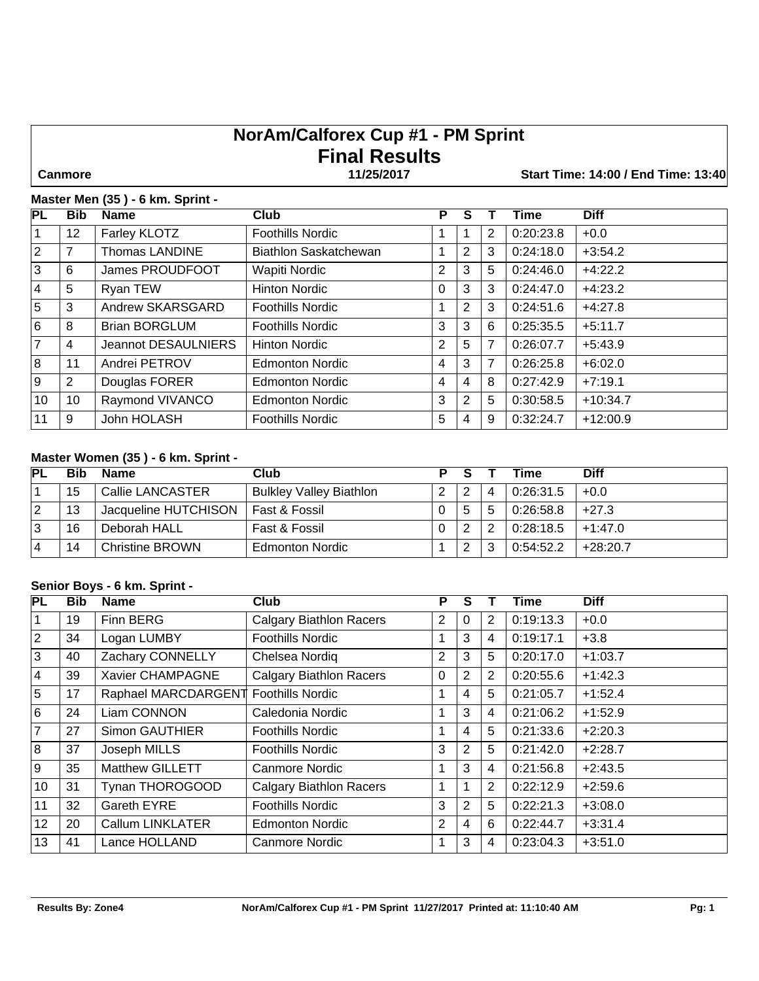# **NorAm/Calforex Cup #1 - PM Sprint Final Results**

 **Canmore 11/25/2017 Start Time: 14:00 / End Time: 13:40**

#### **Master Men (35 ) - 6 km. Sprint -**

| <b>PL</b>       | <b>Bib</b> | <b>Name</b>           | Club                         | P        | S |                | Time      | <b>Diff</b> |
|-----------------|------------|-----------------------|------------------------------|----------|---|----------------|-----------|-------------|
|                 | 12         | Farley KLOTZ          | <b>Foothills Nordic</b>      | 1        |   | 2              | 0:20:23.8 | $+0.0$      |
| $ 2\rangle$     | 7          | <b>Thomas LANDINE</b> | <b>Biathlon Saskatchewan</b> | 1        | 2 | 3              | 0:24:18.0 | $+3:54.2$   |
| 3               | 6          | James PROUDFOOT       | Wapiti Nordic                | 2        | 3 | 5              | 0:24:46.0 | $+4:22.2$   |
| <b>4</b>        | 5          | Ryan TEW              | <b>Hinton Nordic</b>         | $\Omega$ | 3 | 3              | 0:24:47.0 | $+4:23.2$   |
| 5               | 3          | Andrew SKARSGARD      | <b>Foothills Nordic</b>      | 1        | 2 | 3              | 0:24:51.6 | $+4:27.8$   |
| 6               | 8          | <b>Brian BORGLUM</b>  | <b>Foothills Nordic</b>      | 3        | 3 | 6              | 0:25:35.5 | $+5:11.7$   |
| 7               | 4          | Jeannot DESAULNIERS   | <b>Hinton Nordic</b>         | 2        | 5 | 7              | 0:26:07.7 | $+5:43.9$   |
| 8               | 11         | Andrei PETROV         | <b>Edmonton Nordic</b>       | 4        | 3 | $\overline{7}$ | 0:26:25.8 | $+6:02.0$   |
| l 9             | 2          | Douglas FORER         | <b>Edmonton Nordic</b>       | 4        | 4 | 8              | 0:27:42.9 | $+7:19.1$   |
| 10 <sup>°</sup> | 10         | Raymond VIVANCO       | <b>Edmonton Nordic</b>       | 3        | 2 | 5              | 0:30:58.5 | $+10:34.7$  |
| 11              | 9          | John HOLASH           | <b>Foothills Nordic</b>      | 5        | 4 | 9              | 0:32:24.7 | $+12:00.9$  |

# **Master Women (35 ) - 6 km. Sprint -**

| <b>PL</b> | <b>Bib</b> | <b>Name</b>             | Club                           | P | <b>S</b> |   | Time      | <b>Diff</b> |
|-----------|------------|-------------------------|--------------------------------|---|----------|---|-----------|-------------|
|           | 15         | <b>Callie LANCASTER</b> | <b>Bulkley Valley Biathlon</b> | ົ |          | 4 | 0:26:31.5 | $+0.0$      |
| 12        | 13         | Jacqueline HUTCHISON    | Fast & Fossil                  | 0 |          | 5 | 0:26:58.8 | $+27.3$     |
| 13        | 16         | Deborah HALL            | Fast & Fossil                  | 0 |          | 2 | 0:28:18.5 | $+1:47.0$   |
| 14        | 14         | <b>Christine BROWN</b>  | <b>Edmonton Nordic</b>         |   |          | 3 | 0:54:52.2 | $+28:20.7$  |

### **Senior Boys - 6 km. Sprint -**

| <b>PL</b>       | <b>Bib</b> | <b>Name</b>             | <b>Club</b>                    | Р              | S |                | <b>Time</b> | <b>Diff</b> |
|-----------------|------------|-------------------------|--------------------------------|----------------|---|----------------|-------------|-------------|
| 1               | 19         | Finn BERG               | <b>Calgary Biathlon Racers</b> | $\overline{2}$ | 0 | 2              | 0:19:13.3   | $+0.0$      |
| 2               | 34         | Logan LUMBY             | <b>Foothills Nordic</b>        | 1              | 3 | $\overline{4}$ | 0:19:17.1   | $+3.8$      |
| 3               | 40         | Zachary CONNELLY        | Chelsea Nordig                 | $\overline{2}$ | 3 | 5              | 0:20:17.0   | $+1:03.7$   |
| <u> 4</u>       | 39         | Xavier CHAMPAGNE        | <b>Calgary Biathlon Racers</b> | $\Omega$       | 2 | 2              | 0:20:55.6   | $+1:42.3$   |
| 5               | 17         | Raphael MARCDARGENT     | <b>Foothills Nordic</b>        | 1              | 4 | 5              | 0:21:05.7   | $+1:52.4$   |
| 6               | 24         | Liam CONNON             | Caledonia Nordic               | 1              | 3 | $\overline{4}$ | 0:21:06.2   | $+1:52.9$   |
| $\overline{7}$  | 27         | <b>Simon GAUTHIER</b>   | <b>Foothills Nordic</b>        | 1              | 4 | 5              | 0:21:33.6   | $+2:20.3$   |
| 8               | 37         | Joseph MILLS            | <b>Foothills Nordic</b>        | 3              | 2 | 5              | 0:21:42.0   | $+2:28.7$   |
| l 9             | 35         | <b>Matthew GILLETT</b>  | <b>Canmore Nordic</b>          | 1              | 3 | $\overline{4}$ | 0:21:56.8   | $+2:43.5$   |
| 10              | 31         | Tynan THOROGOOD         | <b>Calgary Biathlon Racers</b> | 1              |   | 2              | 0:22:12.9   | $+2:59.6$   |
| 11              | 32         | Gareth EYRE             | <b>Foothills Nordic</b>        | 3              | 2 | 5              | 0:22:21.3   | $+3:08.0$   |
| 12 <sub>2</sub> | 20         | <b>Callum LINKLATER</b> | <b>Edmonton Nordic</b>         | $\overline{2}$ | 4 | 6              | 0:22:44.7   | $+3:31.4$   |
| 13              | 41         | Lance HOLLAND           | <b>Canmore Nordic</b>          | 1              | 3 | 4              | 0:23:04.3   | $+3:51.0$   |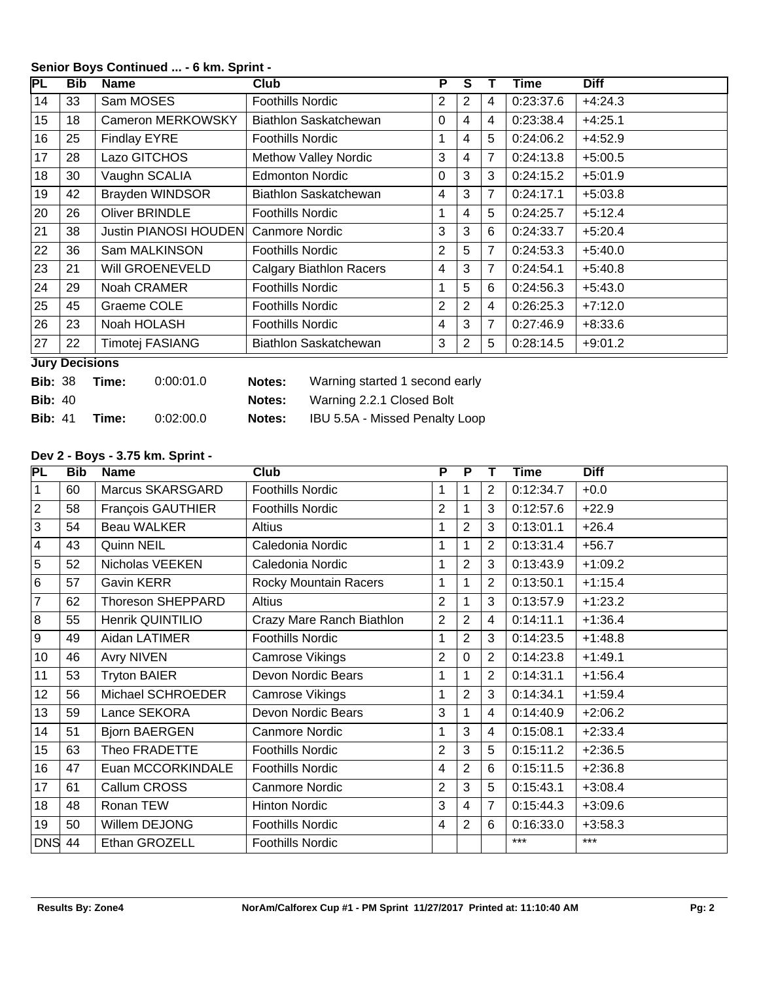| PL | <b>Bib</b>            | <b>Name</b>                  | <b>Club</b>                    | P | S |   | Time      | <b>Diff</b> |  |
|----|-----------------------|------------------------------|--------------------------------|---|---|---|-----------|-------------|--|
| 14 | 33                    | Sam MOSES                    | <b>Foothills Nordic</b>        | 2 | 2 | 4 | 0:23:37.6 | $+4:24.3$   |  |
| 15 | 18                    | Cameron MERKOWSKY            | Biathlon Saskatchewan          | 0 | 4 | 4 | 0:23:38.4 | $+4:25.1$   |  |
| 16 | 25                    | <b>Findlay EYRE</b>          | <b>Foothills Nordic</b>        | 1 | 4 | 5 | 0:24:06.2 | $+4:52.9$   |  |
| 17 | 28                    | Lazo GITCHOS                 | <b>Methow Valley Nordic</b>    | 3 | 4 | 7 | 0:24:13.8 | $+5:00.5$   |  |
| 18 | 30                    | Vaughn SCALIA                | <b>Edmonton Nordic</b>         | 0 | 3 | 3 | 0:24:15.2 | $+5:01.9$   |  |
| 19 | 42                    | Brayden WINDSOR              | Biathlon Saskatchewan          | 4 | 3 | 7 | 0:24:17.1 | $+5:03.8$   |  |
| 20 | 26                    | <b>Oliver BRINDLE</b>        | <b>Foothills Nordic</b>        | 1 | 4 | 5 | 0:24:25.7 | $+5:12.4$   |  |
| 21 | 38                    | <b>Justin PIANOSI HOUDEN</b> | <b>Canmore Nordic</b>          | 3 | 3 | 6 | 0:24:33.7 | $+5:20.4$   |  |
| 22 | 36                    | Sam MALKINSON                | <b>Foothills Nordic</b>        | 2 | 5 | 7 | 0:24:53.3 | $+5:40.0$   |  |
| 23 | 21                    | Will GROENEVELD              | <b>Calgary Biathlon Racers</b> | 4 | 3 | 7 | 0:24:54.1 | $+5:40.8$   |  |
| 24 | 29                    | Noah CRAMER                  | <b>Foothills Nordic</b>        | 1 | 5 | 6 | 0:24:56.3 | $+5:43.0$   |  |
| 25 | 45                    | Graeme COLE                  | <b>Foothills Nordic</b>        | 2 | 2 | 4 | 0:26:25.3 | $+7:12.0$   |  |
| 26 | 23                    | Noah HOLASH                  | <b>Foothills Nordic</b>        | 4 | 3 | 7 | 0:27:46.9 | $+8:33.6$   |  |
| 27 | 22                    | Timotej FASIANG              | Biathlon Saskatchewan          | 3 | 2 | 5 | 0:28:14.5 | $+9:01.2$   |  |
|    | <b>Jury Decisions</b> |                              |                                |   |   |   |           |             |  |

## **Senior Boys Continued ... - 6 km. Sprint -**

| <b>Bib: 38</b> | Time: | 0:00:01.0 | Notes: | Warning started 1 second early |
|----------------|-------|-----------|--------|--------------------------------|
| <b>Bib: 40</b> |       |           | Notes: | Warning 2.2.1 Closed Bolt      |
| <b>Bib: 41</b> | Time: | 0:02:00.0 | Notes: | IBU 5.5A - Missed Penalty Loop |

## **Dev 2 - Boys - 3.75 km. Sprint -**

| PL             | <b>Bib</b> | <b>Name</b>              | <b>Club</b>               | $\overline{\mathsf{P}}$ | $\overline{P}$ |                | <b>Time</b> | <b>Diff</b> |
|----------------|------------|--------------------------|---------------------------|-------------------------|----------------|----------------|-------------|-------------|
| $\vert$ 1      | 60         | Marcus SKARSGARD         | <b>Foothills Nordic</b>   | 1                       |                | $\overline{2}$ | 0:12:34.7   | $+0.0$      |
| $ 2\rangle$    | 58         | François GAUTHIER        | <b>Foothills Nordic</b>   | $\overline{2}$          |                | 3              | 0:12:57.6   | $+22.9$     |
| $\overline{3}$ | 54         | <b>Beau WALKER</b>       | <b>Altius</b>             | 1                       | $\overline{2}$ | 3              | 0:13:01.1   | $+26.4$     |
| $\vert$ 4      | 43         | Quinn NEIL               | Caledonia Nordic          | 1                       |                | $\overline{2}$ | 0:13:31.4   | $+56.7$     |
| $\overline{5}$ | 52         | Nicholas VEEKEN          | Caledonia Nordic          | 1                       | $\overline{2}$ | 3              | 0:13:43.9   | $+1:09.2$   |
| $\overline{6}$ | 57         | Gavin KERR               | Rocky Mountain Racers     | 1                       |                | $\overline{2}$ | 0:13:50.1   | $+1:15.4$   |
| $\overline{7}$ | 62         | <b>Thoreson SHEPPARD</b> | <b>Altius</b>             | 2                       |                | 3              | 0:13:57.9   | $+1:23.2$   |
| $\overline{8}$ | 55         | Henrik QUINTILIO         | Crazy Mare Ranch Biathlon | $\overline{2}$          | $\overline{2}$ | $\overline{4}$ | 0:14:11.1   | $+1:36.4$   |
| 9              | 49         | Aidan LATIMER            | <b>Foothills Nordic</b>   | 1                       | 2              | 3              | 0:14:23.5   | $+1:48.8$   |
| 10             | 46         | <b>Avry NIVEN</b>        | Camrose Vikings           | $\overline{2}$          | $\Omega$       | 2              | 0:14:23.8   | $+1:49.1$   |
| 11             | 53         | <b>Tryton BAIER</b>      | Devon Nordic Bears        | 1                       |                | $\overline{2}$ | 0:14:31.1   | $+1:56.4$   |
| 12             | 56         | Michael SCHROEDER        | Camrose Vikings           | 1                       | 2              | 3              | 0:14:34.1   | $+1:59.4$   |
| 13             | 59         | Lance SEKORA             | Devon Nordic Bears        | 3                       |                | 4              | 0:14:40.9   | $+2:06.2$   |
| 14             | 51         | <b>Bjorn BAERGEN</b>     | Canmore Nordic            | 1                       | 3              | 4              | 0:15:08.1   | $+2:33.4$   |
| 15             | 63         | Theo FRADETTE            | <b>Foothills Nordic</b>   | $\overline{2}$          | 3              | 5              | 0:15:11.2   | $+2:36.5$   |
| 16             | 47         | Euan MCCORKINDALE        | <b>Foothills Nordic</b>   | 4                       | $\overline{2}$ | 6              | 0:15:11.5   | $+2:36.8$   |
| 17             | 61         | Callum CROSS             | <b>Canmore Nordic</b>     | 2                       | 3              | 5              | 0:15:43.1   | $+3:08.4$   |
| 18             | 48         | Ronan TEW                | <b>Hinton Nordic</b>      | 3                       | 4              | 7              | 0:15:44.3   | $+3:09.6$   |
| 19             | 50         | Willem DEJONG            | <b>Foothills Nordic</b>   | 4                       | 2              | 6              | 0:16:33.0   | $+3:58.3$   |
| DNS 44         |            | Ethan GROZELL            | <b>Foothills Nordic</b>   |                         |                |                | $***$       | $***$       |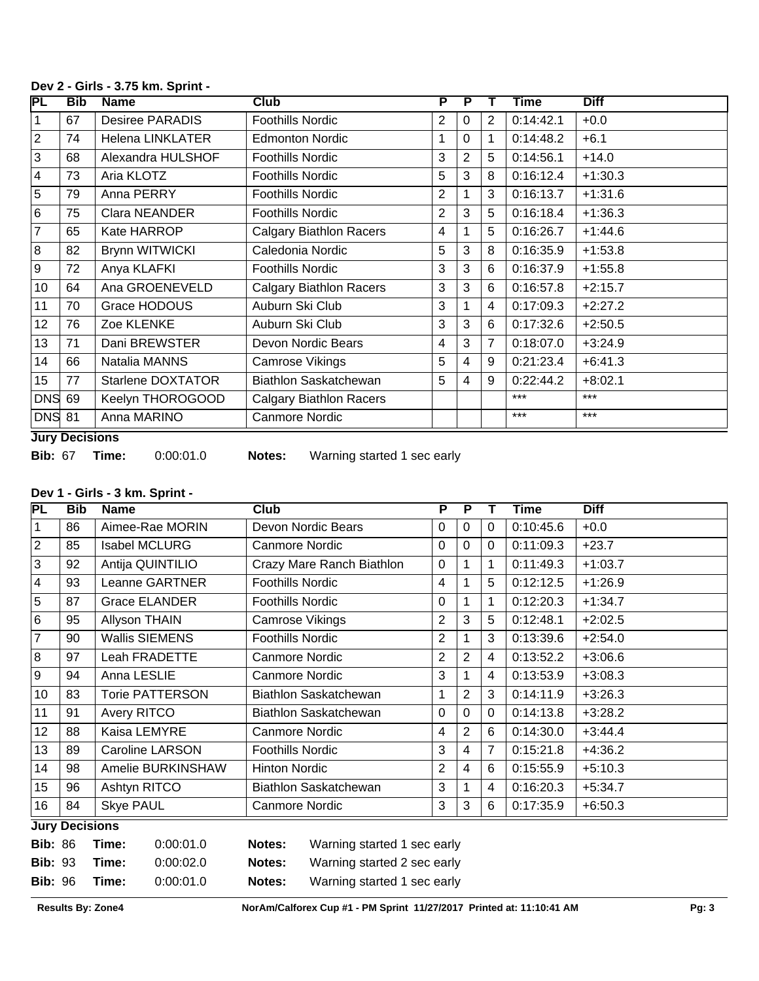| PL             | <b>Bib</b> | <b>Name</b>              | Club                           | P | Р        |                | Time      | <b>Diff</b> |
|----------------|------------|--------------------------|--------------------------------|---|----------|----------------|-----------|-------------|
| 1              | 67         | <b>Desiree PARADIS</b>   | <b>Foothills Nordic</b>        | 2 | 0        | $\overline{2}$ | 0:14:42.1 | $+0.0$      |
| $\overline{2}$ | 74         | <b>Helena LINKLATER</b>  | <b>Edmonton Nordic</b>         | 1 | $\Omega$ |                | 0:14:48.2 | $+6.1$      |
| 3              | 68         | Alexandra HULSHOF        | <b>Foothills Nordic</b>        | 3 | 2        | 5              | 0:14:56.1 | $+14.0$     |
| $\overline{4}$ | 73         | Aria KLOTZ               | <b>Foothills Nordic</b>        | 5 | 3        | 8              | 0:16:12.4 | $+1:30.3$   |
| 5              | 79         | Anna PERRY               | <b>Foothills Nordic</b>        | 2 |          | 3              | 0:16:13.7 | $+1:31.6$   |
| 6              | 75         | Clara NEANDER            | <b>Foothills Nordic</b>        | 2 | 3        | 5              | 0:16:18.4 | $+1:36.3$   |
| 7              | 65         | Kate HARROP              | <b>Calgary Biathlon Racers</b> | 4 |          | 5              | 0:16:26.7 | $+1:44.6$   |
| 8              | 82         | <b>Brynn WITWICKI</b>    | Caledonia Nordic               | 5 | 3        | 8              | 0:16:35.9 | $+1:53.8$   |
| 9              | 72         | Anya KLAFKI              | <b>Foothills Nordic</b>        | 3 | 3        | 6              | 0:16:37.9 | $+1:55.8$   |
| 10             | 64         | Ana GROENEVELD           | <b>Calgary Biathlon Racers</b> | 3 | 3        | 6              | 0:16:57.8 | $+2:15.7$   |
| 11             | 70         | Grace HODOUS             | Auburn Ski Club                | 3 |          | 4              | 0:17:09.3 | $+2:27.2$   |
| 12             | 76         | Zoe KLENKE               | Auburn Ski Club                | 3 | 3        | 6              | 0:17:32.6 | $+2:50.5$   |
| 13             | 71         | Dani BREWSTER            | Devon Nordic Bears             | 4 | 3        | 7              | 0:18:07.0 | $+3:24.9$   |
| 14             | 66         | Natalia MANNS            | Camrose Vikings                | 5 | 4        | 9              | 0:21:23.4 | $+6:41.3$   |
| 15             | 77         | <b>Starlene DOXTATOR</b> | <b>Biathlon Saskatchewan</b>   | 5 | 4        | 9              | 0:22:44.2 | $+8:02.1$   |
| <b>DNS</b>     | 69         | Keelyn THOROGOOD         | <b>Calgary Biathlon Racers</b> |   |          |                | ***       | $***$       |
| <b>DNS 81</b>  |            | Anna MARINO              | <b>Canmore Nordic</b>          |   |          |                | $***$     | $***$       |

#### **Dev 2 - Girls - 3.75 km. Sprint -**

**Jury Decisions**

**Bib:** 93 **Time:** 0:00:02.0 **Notes:** Warning started 2 sec early **Bib:** 96 **Time:** 0:00:01.0 **Notes:** Warning started 1 sec early

**Bib:** 67 **Time:** 0:00:01.0 **Notes:** Warning started 1 sec early

# **Dev 1 - Girls - 3 km. Sprint -**

| PL             | <b>Bib</b>                                                                    | <b>Name</b>            | Club                      | P              | $\overline{P}$ |          | Time      | <b>Diff</b> |  |
|----------------|-------------------------------------------------------------------------------|------------------------|---------------------------|----------------|----------------|----------|-----------|-------------|--|
| $\vert$ 1      | 86                                                                            | Aimee-Rae MORIN        | Devon Nordic Bears        | 0              | $\Omega$       | $\Omega$ | 0:10:45.6 | $+0.0$      |  |
| $\sqrt{2}$     | 85                                                                            | <b>Isabel MCLURG</b>   | <b>Canmore Nordic</b>     | 0              | $\Omega$       | $\Omega$ | 0:11:09.3 | $+23.7$     |  |
| 3              | 92                                                                            | Antija QUINTILIO       | Crazy Mare Ranch Biathlon | 0              |                | 1        | 0:11:49.3 | $+1:03.7$   |  |
| 4              | 93                                                                            | Leanne GARTNER         | <b>Foothills Nordic</b>   | 4              |                | 5        | 0:12:12.5 | $+1:26.9$   |  |
| $\overline{5}$ | 87                                                                            | <b>Grace ELANDER</b>   | <b>Foothills Nordic</b>   | 0              |                | 1        | 0:12:20.3 | $+1:34.7$   |  |
| $\overline{6}$ | 95                                                                            | Allyson THAIN          | Camrose Vikings           | $\overline{2}$ | 3              | 5        | 0:12:48.1 | $+2:02.5$   |  |
| $\overline{7}$ | 90                                                                            | <b>Wallis SIEMENS</b>  | <b>Foothills Nordic</b>   | $\overline{2}$ |                | 3        | 0:13:39.6 | $+2:54.0$   |  |
| 8              | 97                                                                            | Leah FRADETTE          | <b>Canmore Nordic</b>     | $\overline{2}$ | $\overline{2}$ | 4        | 0:13:52.2 | $+3:06.6$   |  |
| 9              | 94                                                                            | Anna LESLIE            | <b>Canmore Nordic</b>     | 3              |                | 4        | 0:13:53.9 | $+3:08.3$   |  |
| 10             | 83                                                                            | <b>Torie PATTERSON</b> | Biathlon Saskatchewan     | 1              | $\overline{2}$ | 3        | 0:14:11.9 | $+3:26.3$   |  |
| 11             | 91                                                                            | Avery RITCO            | Biathlon Saskatchewan     | 0              | $\Omega$       | $\Omega$ | 0:14:13.8 | $+3:28.2$   |  |
| 12             | 88                                                                            | Kaisa LEMYRE           | <b>Canmore Nordic</b>     | 4              | 2              | 6        | 0:14:30.0 | $+3:44.4$   |  |
| 13             | 89                                                                            | <b>Caroline LARSON</b> | <b>Foothills Nordic</b>   | 3              | 4              | 7        | 0:15:21.8 | $+4:36.2$   |  |
| 14             | 98                                                                            | Amelie BURKINSHAW      | <b>Hinton Nordic</b>      | $\overline{2}$ | 4              | 6        | 0:15:55.9 | $+5:10.3$   |  |
| 15             | 96                                                                            | Ashtyn RITCO           | Biathlon Saskatchewan     | 3              |                | 4        | 0:16:20.3 | $+5:34.7$   |  |
| 16             | 84                                                                            | <b>Skye PAUL</b>       | Canmore Nordic            | 3              | 3              | 6        | 0:17:35.9 | $+6:50.3$   |  |
|                | <b>Jury Decisions</b>                                                         |                        |                           |                |                |          |           |             |  |
|                | 0:00:01.0<br><b>Bib: 86</b><br>Notes:<br>Warning started 1 sec early<br>Time: |                        |                           |                |                |          |           |             |  |